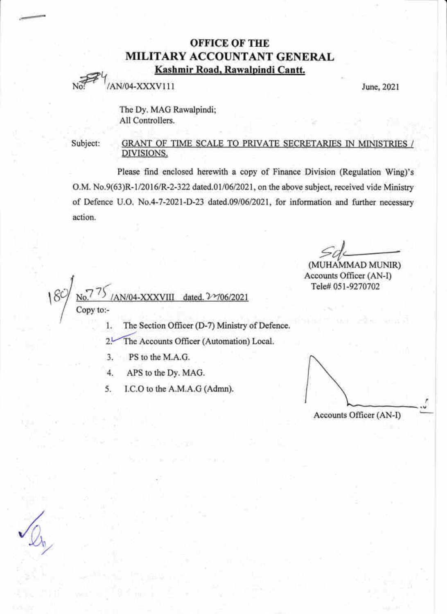# OFFICE OF THE MILITARY ACCOUNTANT GENERAL Kashmir Road, Rawalpindi Cantt.

 $J_{\text{AN}}/04-\text{XXXV111}$  June, 2021

I

The Dy. MAG Rawalpindi; All Controllers.

Subject: GRANT OF TIME SCALE TO PRIVATE SECRETARIES IN MINISTRIES / DIVISIONS. ffi

Please find enclosed herewith a copy of Finance Division (Regulation Wing)'s O.M. No.9(63)R-1/2016/R-2-322 dated.01/06/2021, on the above subject, received vide Ministry of Defence U.O. No.4-7-2021-D-23 dated.09/06/2021, for information and further necessary action.

(MUHAMMAD MUNIR) Accounts Officer (AN-D Tele# 051-9270702

1 dated. 2 106/2021  $\mathcal{E}$ Copy to:-

- l. The Seetion Officer (D-7) Ministry of Defence.
- $2^{1}$ The Accounts Officer (Automation) Local.
- 3. PS to the M.A.G.
- $\overline{4}$ . APS to the Dy. MAG.
- 5. I.C.O to the A.M.A.G (Admn).

Accounts Officer (AN-I) r rV



@##-l@€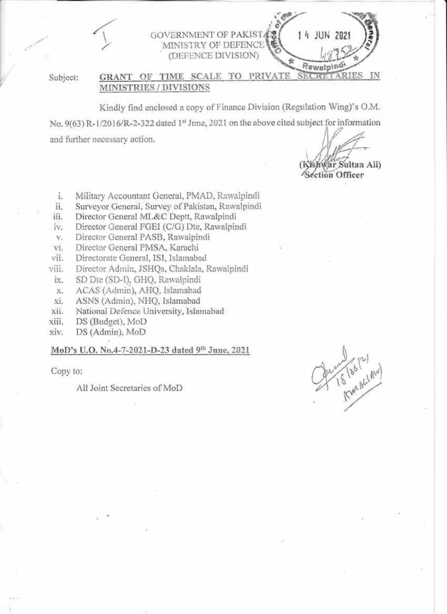GOVERNMENT OF PAKIST4 MINISTRY OF DEFENCE (DEFENCE DIVISION)

Subject:

#### GRANT OF TIME SCALE TO PRIVATE SEC TO MINISTRIES / DIVISIONS

Kindly find enclosed a copy of Finance Division (Regulation Wing)'s O.M. No. 9(63) R-1/2016/R-2-322 dated 1st June, 2021 on the above cited subject for information and further necessary action.

Var Sultan Ali)

14 JUN 2021

Rewalping

**Section Officer** 

- Military Accountant General, PMAD, Rawalpindi ü.
- Surveyor General, Survey of Pakistan, Rawalpindi ii.
- iii. Director General ML&C Deptt, Rawalpindi
- Director General FGEI (C/G) Dtc, Rawalpindi iv.
- Director General PASB, Rawalpindi  $\mathbf{V}$
- Director General PMSA, Karachi Vi.
- Directorate General, ISI, Islamabad vii.
- viii. Director Admin, JSHQs, Chaklala, Rawalpindi
- îχ. SD Dte (SD-I), GHO, Rawalpindi
- ACAS (Admin), AHQ, Islamabad  $\chi$
- ASNS (Admin), NHQ, Islamabad хi.
- National Defence University, Islamabad xii.
- xiii. DS (Budget), MoD
- xiv. DS (Admin), MoD

# MoD's U.O. No.4-7-2021-D-23 dated 9th June, 2021

Copy to:

All Joint Secretaries of MoD

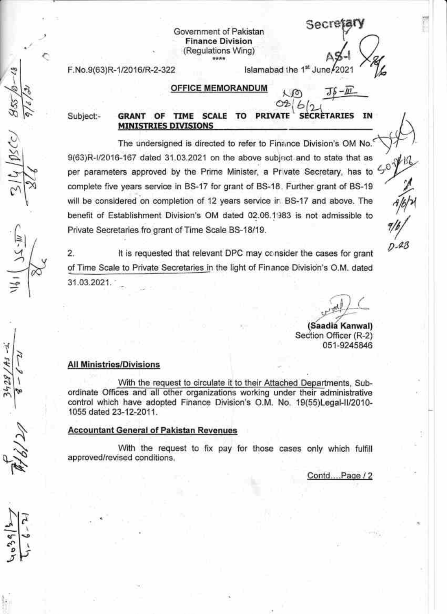Government of Pakistan **Finance Division** (Regulations Wing) \*\*\*\*

F.No.9(63)R-1/2016/R-2-322

## **OFFICE MEMORANDUM**

Subject:-

 $05C$ 

**PRIVATE SECRETARIES TIME SCALE TO GRANT** OF IN **MINISTRIES DIVISIONS** 

The undersigned is directed to refer to Finance Division's OM No. 9(63)R-I/2016-167 dated 31.03.2021 on the above subject and to state that as per parameters approved by the Prime Minister, a Private Secretary, has to  $\zeta^0$ complete five years service in BS-17 for grant of BS-18. Further grant of BS-19 will be considered on completion of 12 years service in BS-17 and above. The benefit of Establishment Division's OM dated 02.06.1983 is not admissible to Private Secretaries fro grant of Time Scale BS-18/19.

 $\overline{2}$ . It is requested that relevant DPC may consider the cases for grant of Time Scale to Private Secretaries in the light of Finance Division's O.M. dated 31.03.2021.

 $D - 48$ 

(Saadia Kanwal) Section Officer (R-2) 051-9245846

Secretar

 $TS - m$ 

Islamabad the 1st June. 2021

 $6r$ 

 $K$   $\infty$ 

### **All Ministries/Divisions**

With the request to circulate it to their Attached Departments, Subordinate Offices and all other organizations working under their administrative control which have adopted Finance Division's O.M. No. 19(55)Legal-II/2010-1055 dated 23-12-2011.

### **Accountant General of Pakistan Revenues**

With the request to fix pay for those cases only which fulfill approved/revised conditions.

Contd....Page / 2